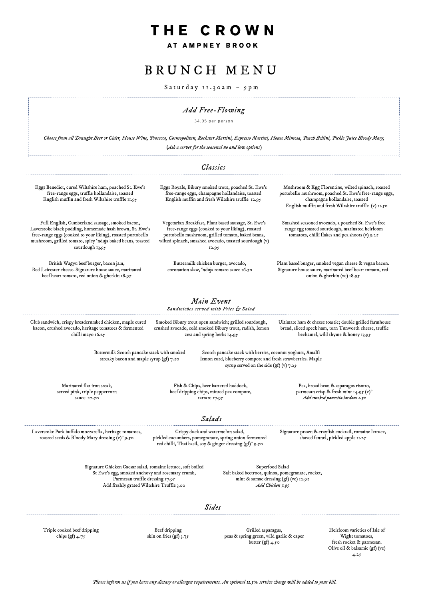### CROWN THE

AT AMPNEY BROOK

*Please inform us if you have any dietary or allergen requirements. An optional 12.5% service charge will be added to your bill.*

### *Sides*

## B R U N C H M E N U

 $S$  a t u r d a y  $I_1$ . 30 a m –  $S$  p m

Laverstoke Park buffalo mozzarella, heritage tomatoes, toasted seeds & Bloody Mary dressing (v)\* 9.50

> Triple cooked beef dripping chips (gf)  $4.75$

Beef dripping skin on fries (gf)  $3.75$ 

Grilled asparagus, peas & spring green, wild garlic & caper butter  $(gf)$  4.50

#### *Classics Main Event Sandwiches served with Fries & Salad Salads* Full English, Cumberland sausage, smoked bacon, Laverstoke black pudding, homemade hash brown, St. Ewe's free-range eggs (cooked to your liking), roasted portobello mushroom, grilled tomato, spicy 'nduja baked beans, toasted sourdough 13.95 Vegetarian Breakfast, Plant based sausage, St. Ewe's free-range eggs (cooked to your liking), roasted portobello mushroom, grilled tomato, baked beans, wilted spinach, smashed avocado, toasted sourdough (v) 12.95 Smashed seasoned avocado, a poached St. Ewe's free range egg toasted sourdough, marinated heirloom tomatoes, chilli flakes and pea shoots (v)  $9.25$ Eggs Benedict, cured Wiltshire ham, poached St. Ewe's free-range eggs, truffle hollandaise, toasted English muffin and fresh Wiltshire truffle 11.95 Eggs Royale, Bibury smoked trout, poached St. Ewe's free-range eggs, champagne hollandaise, toasted English muffin and fresh Wiltshire truffle 12.95 Mushroom & Egg Florentine, wilted spinach, roasted portobello mushroom, poached St. Ewe's free-range eggs, champagne hollandaise, toasted English muffin and fresh Wiltshire truffle (v) 11.50 Club sandwich, crispy breadcrumbed chicken, maple cured bacon, crushed avocado, heritage tomatoes & fermented chilli mayo 16.25 Smoked Bibury trout open sandwich; grilled sourdough, crushed avocado, cold smoked Bibury trout, radish, lemon zest and spring herbs 14.95 Ultimate ham & cheese toastie; double grilled farmhouse bread, sliced speck ham, torn Tunworth cheese, truffle bechamel, wild thyme & honey 13.95 Marinated flat iron steak, served pink, triple peppercorn sauce 22.50 Fish & Chips, beer battered haddock, beef dripping chips, minted pea compote, tartare 17.95 Pea, broad bean & asparagus risotto, parmesan crisp & fresh mint 14.95 (v)\* *Add smoked pancetta lardons 2.50* Buttermilk Scotch pancake stack with smoked streaky bacon and maple syrup (gf) 7.50 Scotch pancake stack with berries, coconut yoghurt, Amalfi lemon curd, blueberry compote and fresh strawberries. Maple syrup served on the side (gf) (v)  $7.25$ *Add Free-Flowing* 34.95 per person *Choose from all Draught Beer or Cider, House Wine, Prosecco, Cosmopolitan, Rockstar Martini, Espresso Martini, House Mimosa, Peach Bellini, Pickle Juice Bloody Mary, (Ask a server for the seasonal no and low options)*  British Wagyu beef burger, bacon jam, Red Leicester cheese. Signature house sauce, marinated beef heart tomato, red onion & gherkin 18.95 Buttermilk chicken burger, avocado, coronation slaw, 'nduja tomato sauce 16.50 Plant based burger, smoked vegan cheese & vegan bacon. Signature house sauce, marinated beef heart tomato, red onion & gherkin (ve) 18.95

Crispy duck and watermelon salad, pickled cucumbers, pomegranate, spring onion fermented red chilli, Thai basil, soy & ginger dressing (gf)\* 9.50

Signature prawn & crayfish cocktail, romaine lettuce, shaved fennel, pickled apple 11.25

Signature Chicken Caesar salad, romaine lettuce, soft boiled St Ewe's egg, smoked anchovy and rosemary crumb, Parmesan truffle dressing 17.95 Add freshly grated Wiltshire Truffle 3.00

Superfood Salad Salt baked beetroot, quinoa, pomegranate, rocket, mint & sumac dressing (gf) (ve) 12.95 *Add Chicken 7.95*

> Heirloom varieties of Isle of Wight tomatoes, fresh rocket & parmesan. Olive oil & balsamic (gf) (ve) 4.25